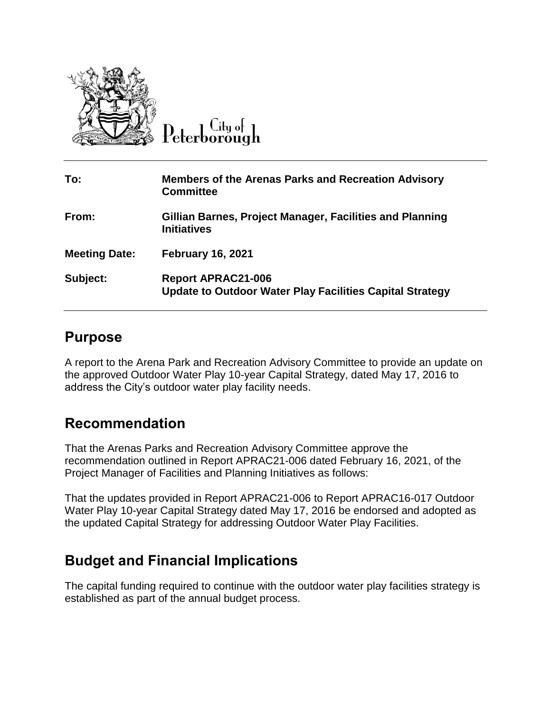

 $C$ ity of Peterborough

| To:                  | <b>Members of the Arenas Parks and Recreation Advisory</b><br><b>Committee</b>               |
|----------------------|----------------------------------------------------------------------------------------------|
| From:                | Gillian Barnes, Project Manager, Facilities and Planning<br><b>Initiatives</b>               |
| <b>Meeting Date:</b> | <b>February 16, 2021</b>                                                                     |
| Subject:             | <b>Report APRAC21-006</b><br><b>Update to Outdoor Water Play Facilities Capital Strategy</b> |

### **Purpose**

A report to the Arena Park and Recreation Advisory Committee to provide an update on the approved Outdoor Water Play 10-year Capital Strategy, dated May 17, 2016 to address the City's outdoor water play facility needs.

## **Recommendation**

That the Arenas Parks and Recreation Advisory Committee approve the recommendation outlined in Report APRAC21-006 dated February 16, 2021, of the Project Manager of Facilities and Planning Initiatives as follows:

That the updates provided in Report APRAC21-006 to Report APRAC16-017 Outdoor Water Play 10-year Capital Strategy dated May 17, 2016 be endorsed and adopted as the updated Capital Strategy for addressing Outdoor Water Play Facilities.

# **Budget and Financial Implications**

The capital funding required to continue with the outdoor water play facilities strategy is established as part of the annual budget process.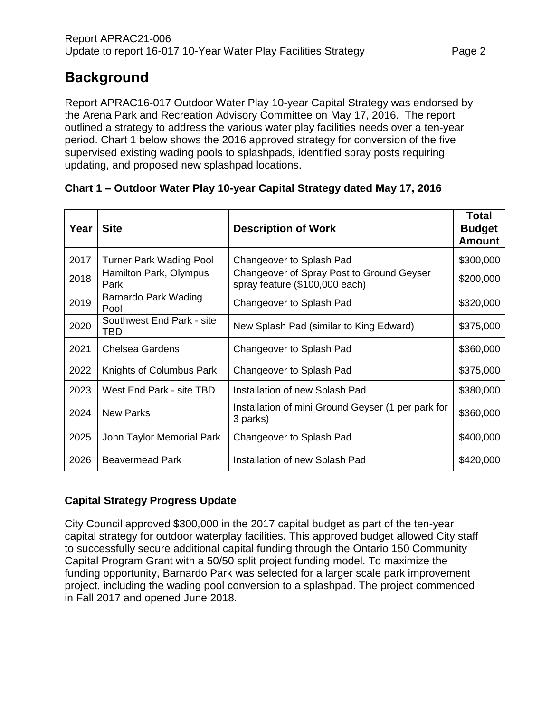# **Background**

Report APRAC16-017 Outdoor Water Play 10-year Capital Strategy was endorsed by the Arena Park and Recreation Advisory Committee on May 17, 2016. The report outlined a strategy to address the various water play facilities needs over a ten-year period. Chart 1 below shows the 2016 approved strategy for conversion of the five supervised existing wading pools to splashpads, identified spray posts requiring updating, and proposed new splashpad locations.

#### **Chart 1 – Outdoor Water Play 10-year Capital Strategy dated May 17, 2016**

| Year | <b>Site</b>                      | <b>Description of Work</b>                                                  | <b>Total</b><br><b>Budget</b><br><b>Amount</b> |
|------|----------------------------------|-----------------------------------------------------------------------------|------------------------------------------------|
| 2017 | <b>Turner Park Wading Pool</b>   | Changeover to Splash Pad                                                    | \$300,000                                      |
| 2018 | Hamilton Park, Olympus<br>Park   | Changeover of Spray Post to Ground Geyser<br>spray feature (\$100,000 each) | \$200,000                                      |
| 2019 | Barnardo Park Wading<br>Pool     | Changeover to Splash Pad                                                    | \$320,000                                      |
| 2020 | Southwest End Park - site<br>TBD | New Splash Pad (similar to King Edward)                                     | \$375,000                                      |
| 2021 | <b>Chelsea Gardens</b>           | Changeover to Splash Pad                                                    | \$360,000                                      |
| 2022 | Knights of Columbus Park         | Changeover to Splash Pad                                                    | \$375,000                                      |
| 2023 | West End Park - site TBD         | Installation of new Splash Pad                                              | \$380,000                                      |
| 2024 | <b>New Parks</b>                 | Installation of mini Ground Geyser (1 per park for<br>3 parks)              | \$360,000                                      |
| 2025 | John Taylor Memorial Park        | Changeover to Splash Pad                                                    | \$400,000                                      |
| 2026 | <b>Beavermead Park</b>           | Installation of new Splash Pad                                              | \$420,000                                      |

### **Capital Strategy Progress Update**

City Council approved \$300,000 in the 2017 capital budget as part of the ten-year capital strategy for outdoor waterplay facilities. This approved budget allowed City staff to successfully secure additional capital funding through the Ontario 150 Community Capital Program Grant with a 50/50 split project funding model. To maximize the funding opportunity, Barnardo Park was selected for a larger scale park improvement project, including the wading pool conversion to a splashpad. The project commenced in Fall 2017 and opened June 2018.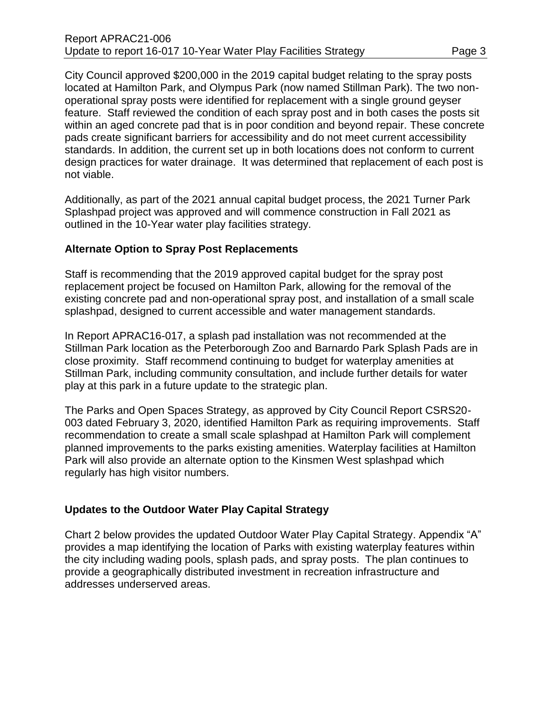City Council approved \$200,000 in the 2019 capital budget relating to the spray posts located at Hamilton Park, and Olympus Park (now named Stillman Park). The two nonoperational spray posts were identified for replacement with a single ground geyser feature. Staff reviewed the condition of each spray post and in both cases the posts sit within an aged concrete pad that is in poor condition and beyond repair. These concrete pads create significant barriers for accessibility and do not meet current accessibility standards. In addition, the current set up in both locations does not conform to current design practices for water drainage. It was determined that replacement of each post is not viable.

Additionally, as part of the 2021 annual capital budget process, the 2021 Turner Park Splashpad project was approved and will commence construction in Fall 2021 as outlined in the 10-Year water play facilities strategy.

#### **Alternate Option to Spray Post Replacements**

Staff is recommending that the 2019 approved capital budget for the spray post replacement project be focused on Hamilton Park, allowing for the removal of the existing concrete pad and non-operational spray post, and installation of a small scale splashpad, designed to current accessible and water management standards.

In Report APRAC16-017, a splash pad installation was not recommended at the Stillman Park location as the Peterborough Zoo and Barnardo Park Splash Pads are in close proximity. Staff recommend continuing to budget for waterplay amenities at Stillman Park, including community consultation, and include further details for water play at this park in a future update to the strategic plan.

The Parks and Open Spaces Strategy, as approved by City Council Report CSRS20- 003 dated February 3, 2020, identified Hamilton Park as requiring improvements. Staff recommendation to create a small scale splashpad at Hamilton Park will complement planned improvements to the parks existing amenities. Waterplay facilities at Hamilton Park will also provide an alternate option to the Kinsmen West splashpad which regularly has high visitor numbers.

#### **Updates to the Outdoor Water Play Capital Strategy**

Chart 2 below provides the updated Outdoor Water Play Capital Strategy. Appendix "A" provides a map identifying the location of Parks with existing waterplay features within the city including wading pools, splash pads, and spray posts. The plan continues to provide a geographically distributed investment in recreation infrastructure and addresses underserved areas.